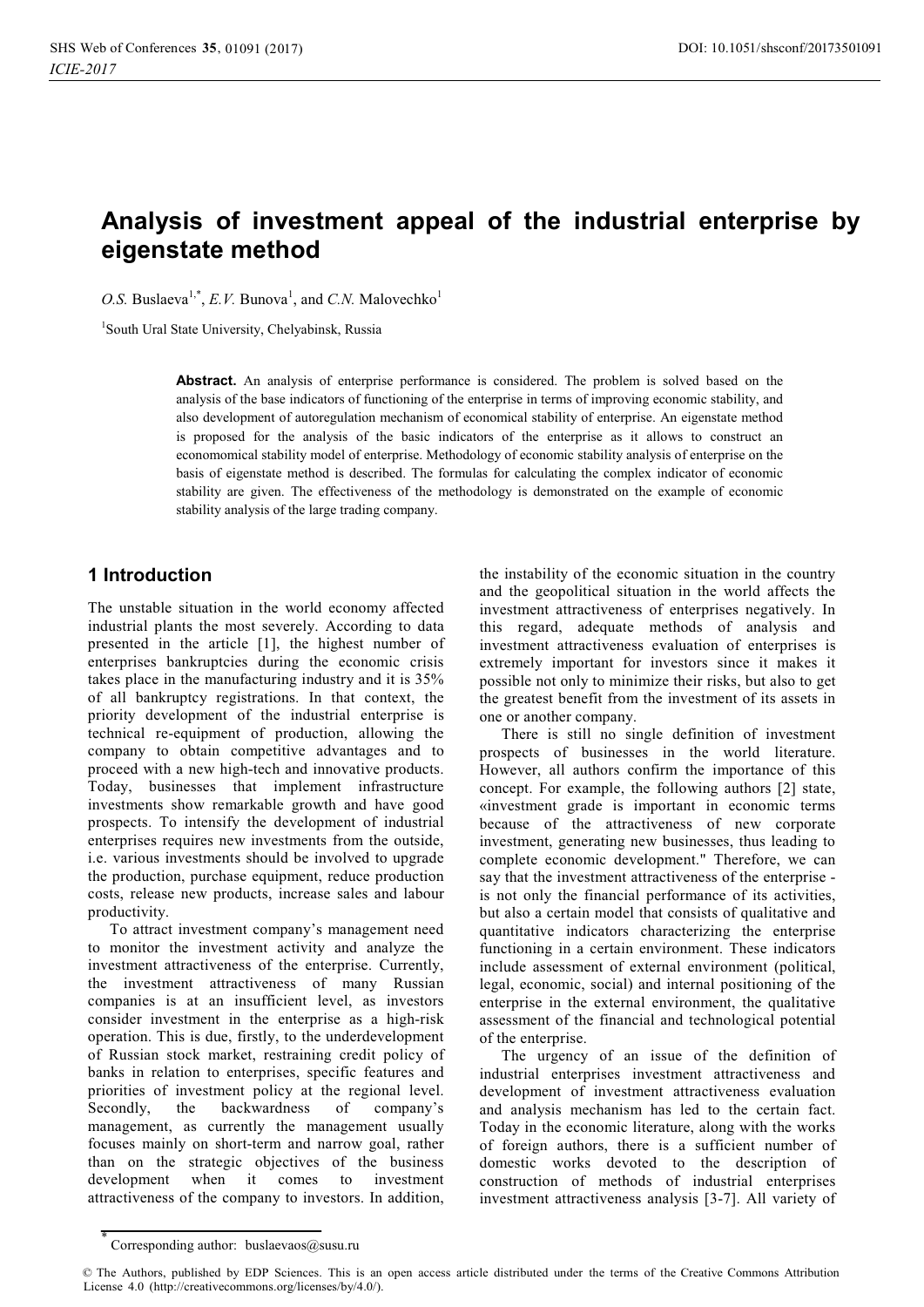# **Analysis of investment appeal of the industrial enterprise by eigenstate method**

*O.S.* Buslaeva<sup>1,\*</sup>, *E.V.* Bunova<sup>1</sup>, and *C.N.* Malovechko<sup>1</sup>

1 South Ural State University, Chelyabinsk, Russia

**Abstract.** An analysis of enterprise performance is considered. The problem is solved based on the analysis of the base indicators of functioning of the enterprise in terms of improving economic stability, and also development of autoregulation mechanism of economical stability of enterprise. An eigenstate method is proposed for the analysis of the basic indicators of the enterprise as it allows to construct an economomical stability model of enterprise. Methodology of economic stability analysis of enterprise on the basis of eigenstate method is described. The formulas for calculating the complex indicator of economic stability are given. The effectiveness of the methodology is demonstrated on the example of economic stability analysis of the large trading company.

### **1 Introduction**

The unstable situation in the world economy affected industrial plants the most severely. According to data presented in the article [1], the highest number of enterprises bankruptcies during the economic crisis takes place in the manufacturing industry and it is 35% of all bankruptcy registrations. In that context, the priority development of the industrial enterprise is technical re-equipment of production, allowing the company to obtain competitive advantages and to proceed with a new high-tech and innovative products. Today, businesses that implement infrastructure investments show remarkable growth and have good prospects. To intensify the development of industrial enterprises requires new investments from the outside, i.e. various investments should be involved to upgrade the production, purchase equipment, reduce production costs, release new products, increase sales and labour productivity.

To attract investment company's management need to monitor the investment activity and analyze the investment attractiveness of the enterprise. Currently, the investment attractiveness of many Russian companies is at an insufficient level, as investors consider investment in the enterprise as a high-risk operation. This is due, firstly, to the underdevelopment of Russian stock market, restraining credit policy of banks in relation to enterprises, specific features and priorities of investment policy at the regional level. Secondly, the backwardness of company's management, as currently the management usually focuses mainly on short-term and narrow goal, rather than on the strategic objectives of the business development when it comes to investment attractiveness of the company to investors. In addition,

the instability of the economic situation in the country and the geopolitical situation in the world affects the investment attractiveness of enterprises negatively. In this regard, adequate methods of analysis and investment attractiveness evaluation of enterprises is extremely important for investors since it makes it possible not only to minimize their risks, but also to get the greatest benefit from the investment of its assets in one or another company.

There is still no single definition of investment prospects of businesses in the world literature. However, all authors confirm the importance of this concept. For example, the following authors [2] state, «investment grade is important in economic terms because of the attractiveness of new corporate investment, generating new businesses, thus leading to complete economic development." Therefore, we can say that the investment attractiveness of the enterprise is not only the financial performance of its activities, but also a certain model that consists of qualitative and quantitative indicators characterizing the enterprise functioning in a certain environment. These indicators include assessment of external environment (political, legal, economic, social) and internal positioning of the enterprise in the external environment, the qualitative assessment of the financial and technological potential of the enterprise.

The urgency of an issue of the definition of industrial enterprises investment attractiveness and development of investment attractiveness evaluation and analysis mechanism has led to the certain fact. Today in the economic literature, along with the works of foreign authors, there is a sufficient number of domestic works devoted to the description of construction of methods of industrial enterprises investment attractiveness analysis [3-7]. All variety of

<sup>\*</sup> Corresponding author: buslaevaos@susu.ru

<sup>©</sup> The Authors, published by EDP Sciences. This is an open access article distributed under the terms of the Creative Commons Attribution License 4.0 (http://creativecommons.org/licenses/by/4.0/).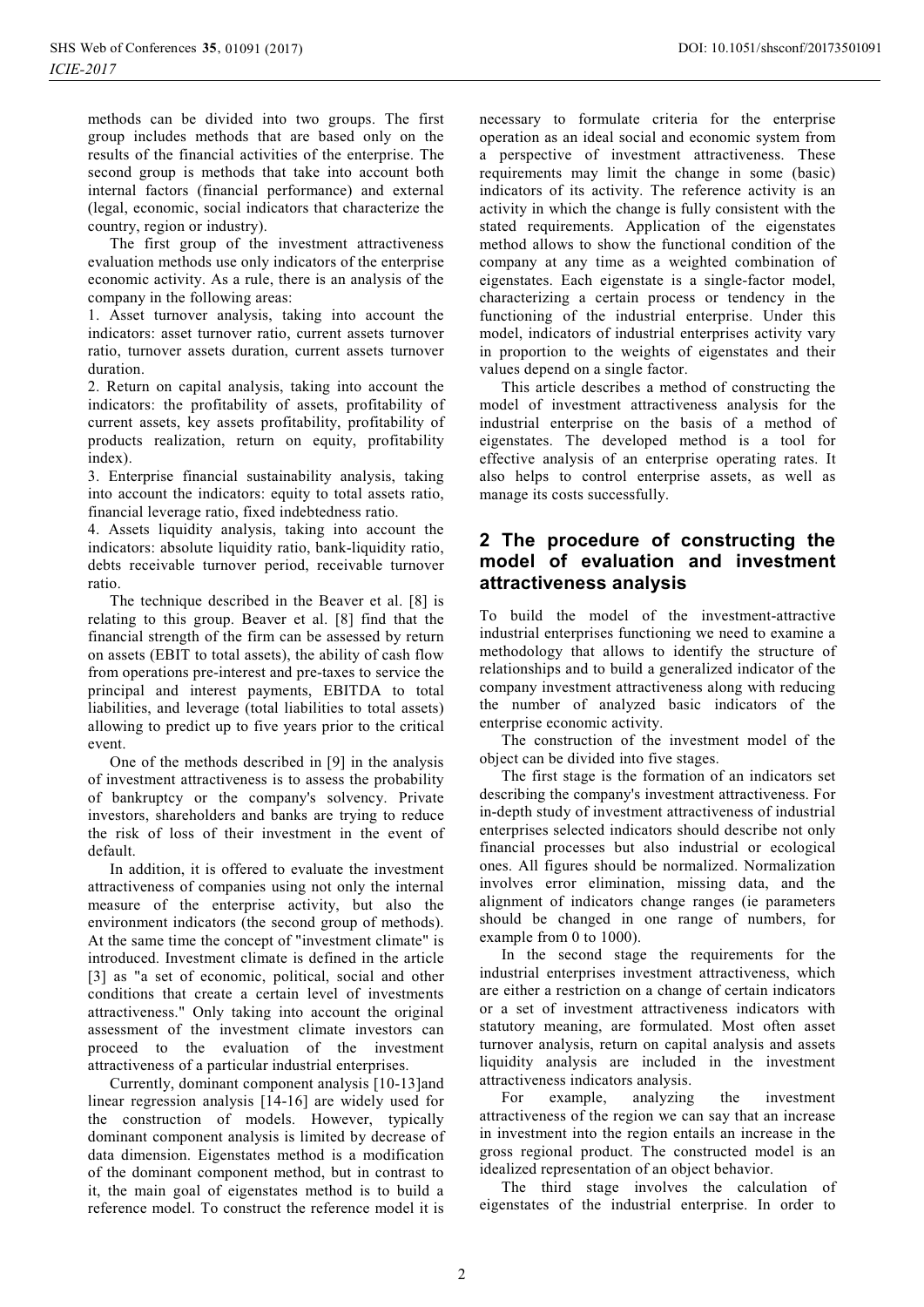methods can be divided into two groups. The first group includes methods that are based only on the results of the financial activities of the enterprise. The second group is methods that take into account both internal factors (financial performance) and external (legal, economic, social indicators that characterize the country, region or industry).

The first group of the investment attractiveness evaluation methods use only indicators of the enterprise economic activity. As a rule, there is an analysis of the company in the following areas:

1. Asset turnover analysis, taking into account the indicators: asset turnover ratio, current assets turnover ratio, turnover assets duration, current assets turnover duration.

2. Return on capital analysis, taking into account the indicators: the profitability of assets, profitability of current assets, key assets profitability, profitability of products realization, return on equity, profitability index).

3. Enterprise financial sustainability analysis, taking into account the indicators: equity to total assets ratio, financial leverage ratio, fixed indebtedness ratio.

4. Assets liquidity analysis, taking into account the indicators: absolute liquidity ratio, bank-liquidity ratio, debts receivable turnover period, receivable turnover ratio.

The technique described in the Beaver et al. [8] is relating to this group. Beaver et al. [8] find that the financial strength of the firm can be assessed by return on assets (EBIT to total assets), the ability of cash flow from operations pre-interest and pre-taxes to service the principal and interest payments, EBITDA to total liabilities, and leverage (total liabilities to total assets) allowing to predict up to five years prior to the critical event.

One of the methods described in [9] in the analysis of investment attractiveness is to assess the probability of bankruptcy or the company's solvency. Private investors, shareholders and banks are trying to reduce the risk of loss of their investment in the event of default.

In addition, it is offered to evaluate the investment attractiveness of companies using not only the internal measure of the enterprise activity, but also the environment indicators (the second group of methods). At the same time the concept of "investment climate" is introduced. Investment climate is defined in the article [3] as "a set of economic, political, social and other conditions that create a certain level of investments attractiveness." Only taking into account the original assessment of the investment climate investors can proceed to the evaluation of the investment attractiveness of a particular industrial enterprises.

Currently, dominant component analysis [10-13]and linear regression analysis [14-16] are widely used for the construction of models. However, typically dominant component analysis is limited by decrease of data dimension. Eigenstates method is a modification of the dominant component method, but in contrast to it, the main goal of eigenstates method is to build a reference model. To construct the reference model it is

necessary to formulate criteria for the enterprise operation as an ideal social and economic system from a perspective of investment attractiveness. These requirements may limit the change in some (basic) indicators of its activity. The reference activity is an activity in which the change is fully consistent with the stated requirements. Application of the eigenstates method allows to show the functional condition of the company at any time as a weighted combination of eigenstates. Each eigenstate is a single-factor model, characterizing a certain process or tendency in the functioning of the industrial enterprise. Under this model, indicators of industrial enterprises activity vary in proportion to the weights of eigenstates and their values depend on a single factor.

This article describes a method of constructing the model of investment attractiveness analysis for the industrial enterprise on the basis of a method of eigenstates. The developed method is a tool for effective analysis of an enterprise operating rates. It also helps to control enterprise assets, as well as manage its costs successfully.

## **2 The procedure of constructing the model of evaluation and investment attractiveness analysis**

To build the model of the investment-attractive industrial enterprises functioning we need to examine a methodology that allows to identify the structure of relationships and to build a generalized indicator of the company investment attractiveness along with reducing the number of analyzed basic indicators of the enterprise economic activity.

The construction of the investment model of the object can be divided into five stages.

The first stage is the formation of an indicators set describing the company's investment attractiveness. For in-depth study of investment attractiveness of industrial enterprises selected indicators should describe not only financial processes but also industrial or ecological ones. All figures should be normalized. Normalization involves error elimination, missing data, and the alignment of indicators change ranges (ie parameters should be changed in one range of numbers, for example from 0 to 1000).

In the second stage the requirements for the industrial enterprises investment attractiveness, which are either a restriction on a change of certain indicators or a set of investment attractiveness indicators with statutory meaning, are formulated. Most often asset turnover analysis, return on capital analysis and assets liquidity analysis are included in the investment attractiveness indicators analysis.

For example, analyzing the investment attractiveness of the region we can say that an increase in investment into the region entails an increase in the gross regional product. The constructed model is an idealized representation of an object behavior.

The third stage involves the calculation of eigenstates of the industrial enterprise. In order to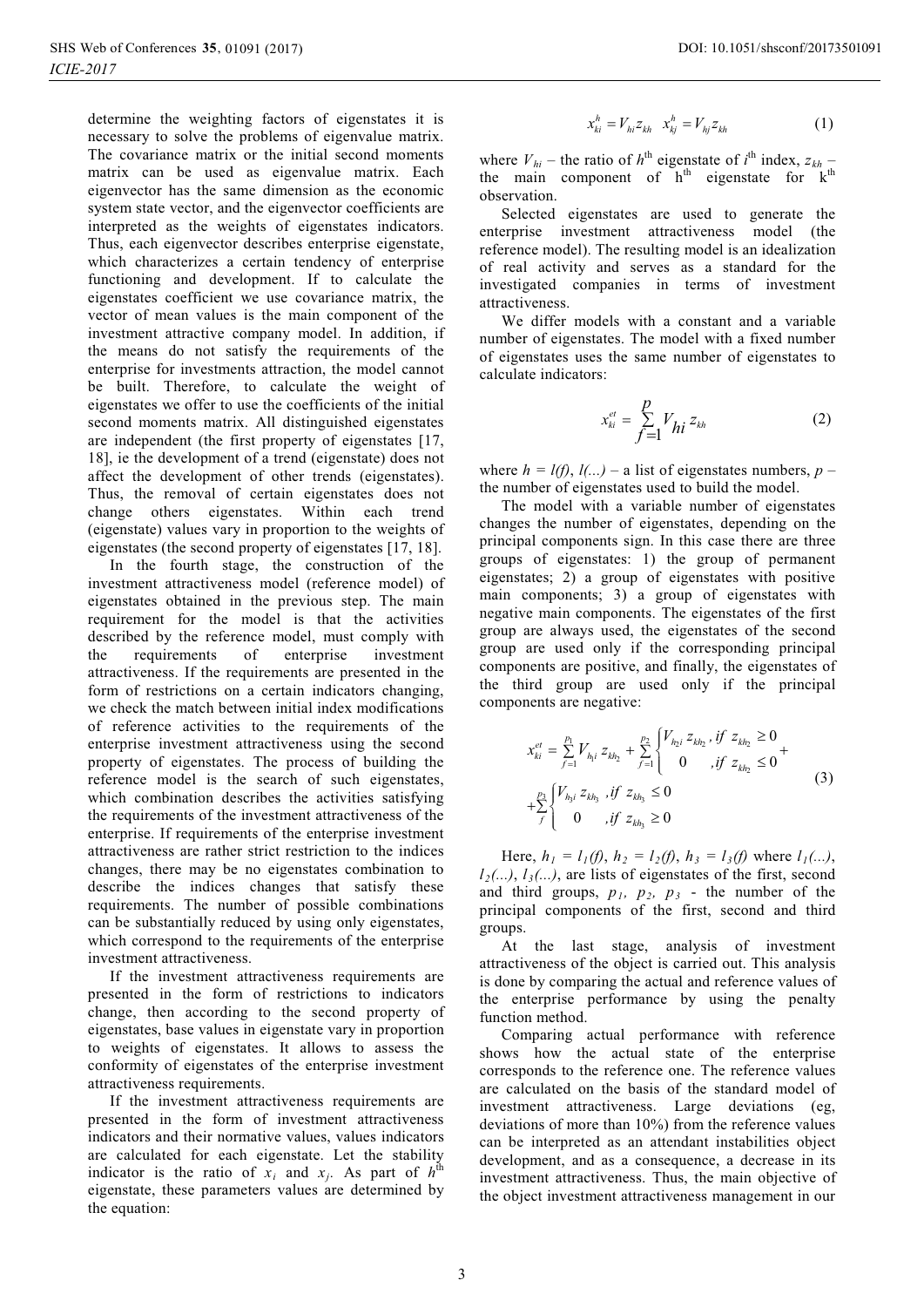determine the weighting factors of eigenstates it is necessary to solve the problems of eigenvalue matrix. The covariance matrix or the initial second moments matrix can be used as eigenvalue matrix. Each eigenvector has the same dimension as the economic system state vector, and the eigenvector coefficients are interpreted as the weights of eigenstates indicators. Thus, each eigenvector describes enterprise eigenstate, which characterizes a certain tendency of enterprise functioning and development. If to calculate the eigenstates coefficient we use covariance matrix, the vector of mean values is the main component of the investment attractive company model. In addition, if the means do not satisfy the requirements of the enterprise for investments attraction, the model cannot be built. Therefore, to calculate the weight of eigenstates we offer to use the coefficients of the initial second moments matrix. All distinguished eigenstates are independent (the first property of eigenstates [17, 18], ie the development of a trend (eigenstate) does not affect the development of other trends (eigenstates). Thus, the removal of certain eigenstates does not change others eigenstates. Within each trend (eigenstate) values vary in proportion to the weights of eigenstates (the second property of eigenstates [17, 18].

In the fourth stage, the construction of the investment attractiveness model (reference model) of eigenstates obtained in the previous step. The main requirement for the model is that the activities described by the reference model, must comply with the requirements of enterprise investment attractiveness. If the requirements are presented in the form of restrictions on a certain indicators changing, we check the match between initial index modifications of reference activities to the requirements of the enterprise investment attractiveness using the second property of eigenstates. The process of building the reference model is the search of such eigenstates, which combination describes the activities satisfying the requirements of the investment attractiveness of the enterprise. If requirements of the enterprise investment attractiveness are rather strict restriction to the indices changes, there may be no eigenstates combination to describe the indices changes that satisfy these requirements. The number of possible combinations can be substantially reduced by using only eigenstates, which correspond to the requirements of the enterprise investment attractiveness.

If the investment attractiveness requirements are presented in the form of restrictions to indicators change, then according to the second property of eigenstates, base values in eigenstate vary in proportion to weights of eigenstates. It allows to assess the conformity of eigenstates of the enterprise investment attractiveness requirements.

If the investment attractiveness requirements are presented in the form of investment attractiveness indicators and their normative values, values indicators are calculated for each eigenstate. Let the stability indicator is the ratio of  $x_i$  and  $x_j$ . As part of  $h^{\text{th}}$ eigenstate, these parameters values are determined by the equation:

$$
x_{ki}^h = V_{hi} z_{kh} \t x_{kj}^h = V_{hj} z_{kh} \t (1)
$$

where  $V_{hi}$  – the ratio of  $h^{\text{th}}$  eigenstate of  $i^{\text{th}}$  index,  $z_{kh}$  – the main component of  $h<sup>th</sup>$  eigenstate for  $k<sup>th</sup>$ observation.

Selected eigenstates are used to generate the enterprise investment attractiveness model (the reference model). The resulting model is an idealization of real activity and serves as a standard for the investigated companies in terms of investment attractiveness.

We differ models with a constant and a variable number of eigenstates. The model with a fixed number of eigenstates uses the same number of eigenstates to calculate indicators:

$$
x_{ki}^{et} = \sum_{f=1}^{p} V_{hi} z_{kh}
$$
 (2)

where  $h = l(f), l(...)$  – a list of eigenstates numbers, *p* – the number of eigenstates used to build the model.

The model with a variable number of eigenstates changes the number of eigenstates, depending on the principal components sign. In this case there are three groups of eigenstates: 1) the group of permanent eigenstates; 2) a group of eigenstates with positive main components; 3) a group of eigenstates with negative main components. The eigenstates of the first group are always used, the eigenstates of the second group are used only if the corresponding principal components are positive, and finally, the eigenstates of the third group are used only if the principal components are negative:

$$
x_{ki}^{et} = \sum_{f=1}^{p_1} V_{h_1 i} z_{kh_2} + \sum_{f=1}^{p_2} \begin{cases} V_{h_2 i} z_{kh_2}, if z_{kh_2} \ge 0 \\ 0, if z_{kh_2} \le 0 \end{cases} + \sum_{f=1}^{p_3} \begin{cases} V_{h_3 i} z_{kh_3}, if z_{kh_3} \le 0 \\ 0, if z_{kh_3} \ge 0 \end{cases}
$$
(3)

Here,  $h_1 = l_1(f)$ ,  $h_2 = l_2(f)$ ,  $h_3 = l_3(f)$  where  $l_1(...)$ ,  $l_2(\ldots)$ ,  $l_3(\ldots)$ , are lists of eigenstates of the first, second and third groups,  $p_1$ ,  $p_2$ ,  $p_3$  - the number of the principal components of the first, second and third groups.

At the last stage, analysis of investment attractiveness of the object is carried out. This analysis is done by comparing the actual and reference values of the enterprise performance by using the penalty function method.

Comparing actual performance with reference shows how the actual state of the enterprise corresponds to the reference one. The reference values are calculated on the basis of the standard model of investment attractiveness. Large deviations (eg, deviations of more than 10%) from the reference values can be interpreted as an attendant instabilities object development, and as a consequence, a decrease in its investment attractiveness. Thus, the main objective of the object investment attractiveness management in our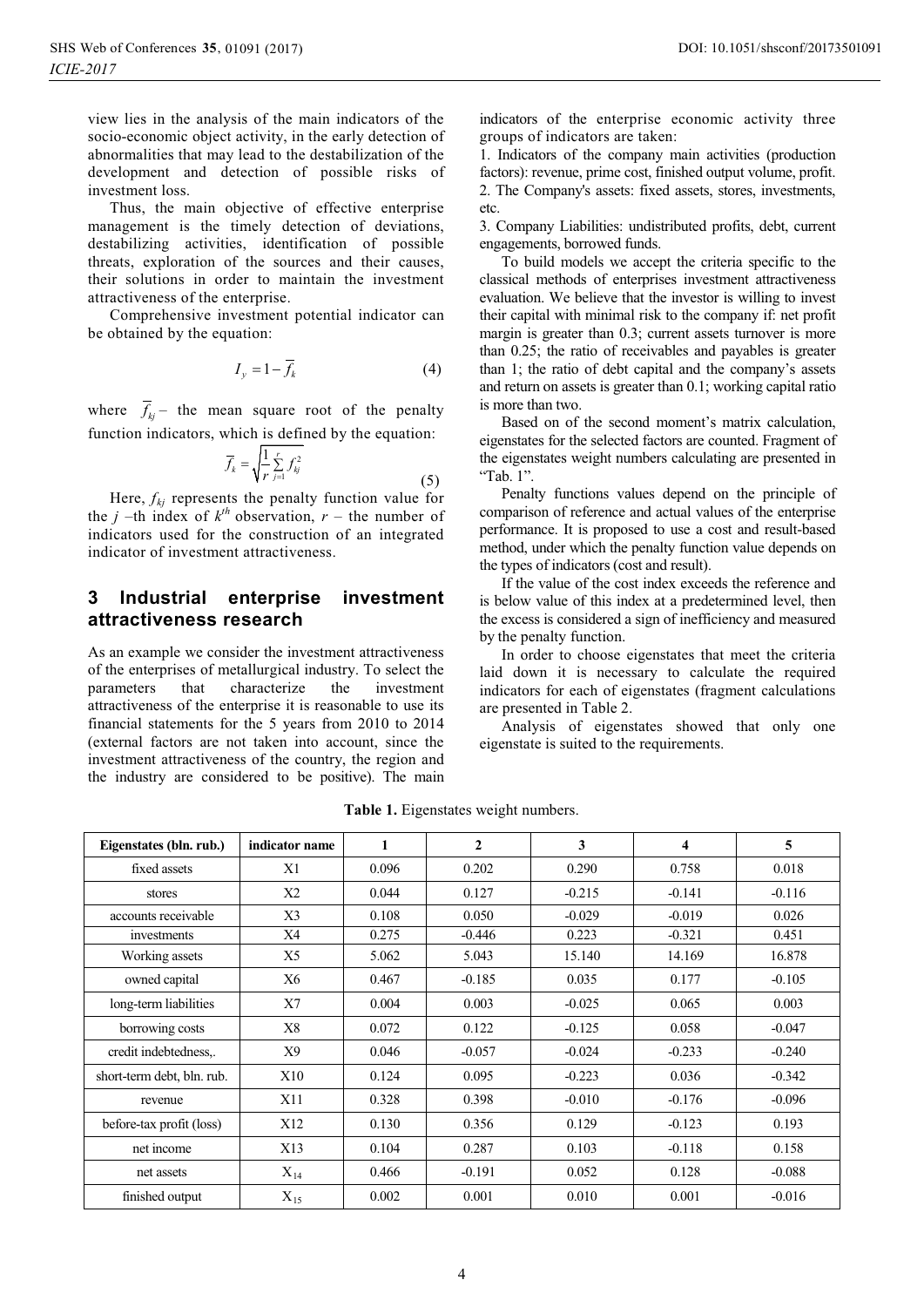view lies in the analysis of the main indicators of the socio-economic object activity, in the early detection of abnormalities that may lead to the destabilization of the development and detection of possible risks of investment loss.

Thus, the main objective of effective enterprise management is the timely detection of deviations, destabilizing activities, identification of possible threats, exploration of the sources and their causes, their solutions in order to maintain the investment attractiveness of the enterprise.

Comprehensive investment potential indicator can be obtained by the equation:

$$
I_y = 1 - \overline{f}_k \tag{4}
$$

where  $\bar{f}_{ki}$  – the mean square root of the penalty function indicators, which is defined by the equation:

$$
\overline{f}_k = \sqrt{\frac{1}{r} \sum_{j=1}^r f_{kj}^2}
$$
\n(5)

Here,  $f_{kj}$  represents the penalty function value for the *j* –th index of  $k^{th}$  observation,  $r$  – the number of indicators used for the construction of an integrated indicator of investment attractiveness.

### **3 Industrial enterprise investment attractiveness research**

As an example we consider the investment attractiveness of the enterprises of metallurgical industry. To select the parameters that characterize the investment attractiveness of the enterprise it is reasonable to use its financial statements for the 5 years from 2010 to 2014 (external factors are not taken into account, since the investment attractiveness of the country, the region and the industry are considered to be positive). The main indicators of the enterprise economic activity three groups of indicators are taken:

1. Indicators of the company main activities (production factors): revenue, prime cost, finished output volume, profit. 2. The Company's assets: fixed assets, stores, investments, etc.

3. Company Liabilities: undistributed profits, debt, current engagements, borrowed funds.

To build models we accept the criteria specific to the classical methods of enterprises investment attractiveness evaluation. We believe that the investor is willing to invest their capital with minimal risk to the company if: net profit margin is greater than 0.3; current assets turnover is more than 0.25; the ratio of receivables and payables is greater than 1; the ratio of debt capital and the company's assets and return on assets is greater than 0.1; working capital ratio is more than two.

Based on of the second moment's matrix calculation, eigenstates for the selected factors are counted. Fragment of the eigenstates weight numbers calculating are presented in "Tab. 1".

Penalty functions values depend on the principle of comparison of reference and actual values of the enterprise performance. It is proposed to use a cost and result-based method, under which the penalty function value depends on the types of indicators (cost and result).

If the value of the cost index exceeds the reference and is below value of this index at a predetermined level, then the excess is considered a sign of inefficiency and measured by the penalty function.

In order to choose eigenstates that meet the criteria laid down it is necessary to calculate the required indicators for each of eigenstates (fragment calculations are presented in Table 2.

Analysis of eigenstates showed that only one eigenstate is suited to the requirements.

| Eigenstates (bln. rub.)    | indicator name    | $\mathbf{1}$ | $\mathbf{2}$ | 3        | $\overline{\mathbf{4}}$ | 5        |
|----------------------------|-------------------|--------------|--------------|----------|-------------------------|----------|
| fixed assets               | X1                | 0.096        | 0.202        | 0.290    | 0.758                   | 0.018    |
| stores                     | X <sub>2</sub>    | 0.044        | 0.127        | $-0.215$ | $-0.141$                | $-0.116$ |
| accounts receivable        | X3                | 0.108        | 0.050        | $-0.029$ | $-0.019$                | 0.026    |
| investments                | X4                | 0.275        | $-0.446$     | 0.223    | $-0.321$                | 0.451    |
| Working assets             | X5                | 5.062        | 5.043        | 15.140   | 14.169                  | 16.878   |
| owned capital              | X6                | 0.467        | $-0.185$     | 0.035    | 0.177                   | $-0.105$ |
| long-term liabilities      | X7                | 0.004        | 0.003        | $-0.025$ | 0.065                   | 0.003    |
| borrowing costs            | X8                | 0.072        | 0.122        | $-0.125$ | 0.058                   | $-0.047$ |
| credit indebtedness,.      | X9                | 0.046        | $-0.057$     | $-0.024$ | $-0.233$                | $-0.240$ |
| short-term debt, bln. rub. | X10               | 0.124        | 0.095        | $-0.223$ | 0.036                   | $-0.342$ |
| revenue                    | X11               | 0.328        | 0.398        | $-0.010$ | $-0.176$                | $-0.096$ |
| before-tax profit (loss)   | X12               | 0.130        | 0.356        | 0.129    | $-0.123$                | 0.193    |
| net income                 | X13               | 0.104        | 0.287        | 0.103    | $-0.118$                | 0.158    |
| net assets                 | $\mathrm{X}_{14}$ | 0.466        | $-0.191$     | 0.052    | 0.128                   | $-0.088$ |
| finished output            | $X_{15}$          | 0.002        | 0.001        | 0.010    | 0.001                   | $-0.016$ |

**Table 1.** Eigenstates weight numbers.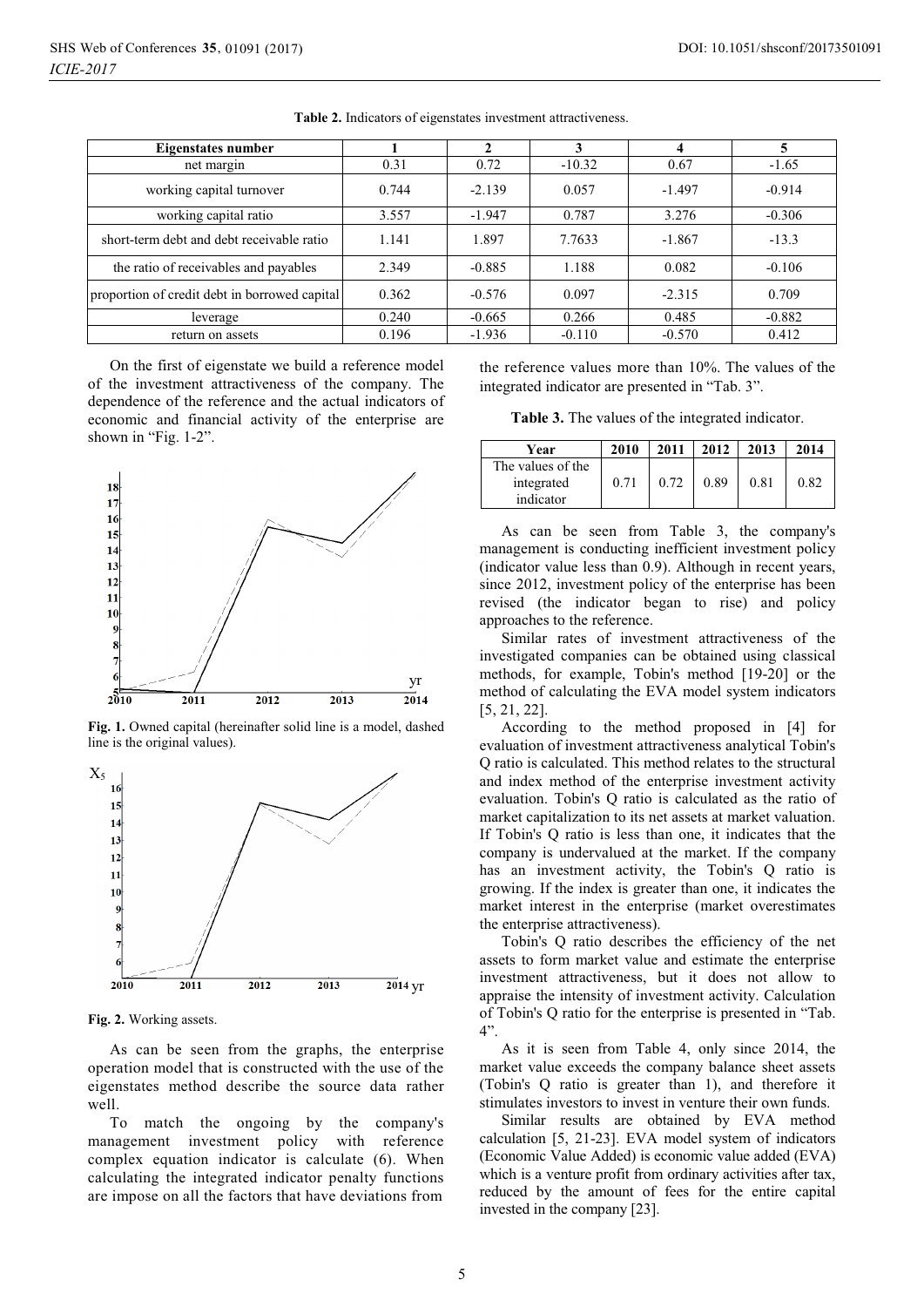| Eigenstates number                            |       |          |          |          | 5        |
|-----------------------------------------------|-------|----------|----------|----------|----------|
| net margin                                    | 0.31  | 0.72     | $-10.32$ | 0.67     | $-1.65$  |
| working capital turnover                      | 0.744 | $-2.139$ | 0.057    | $-1.497$ | $-0.914$ |
| working capital ratio                         | 3.557 | $-1.947$ | 0.787    | 3.276    | $-0.306$ |
| short-term debt and debt receivable ratio     | 1.141 | 1.897    | 7.7633   | $-1.867$ | $-13.3$  |
| the ratio of receivables and payables         | 2.349 | $-0.885$ | 1.188    | 0.082    | $-0.106$ |
| proportion of credit debt in borrowed capital | 0.362 | $-0.576$ | 0.097    | $-2.315$ | 0.709    |
| leverage                                      | 0.240 | $-0.665$ | 0.266    | 0.485    | $-0.882$ |
| return on assets                              | 0.196 | $-1.936$ | $-0.110$ | $-0.570$ | 0.412    |

**Table 2.** Indicators of eigenstates investment attractiveness.

On the first of eigenstate we build a reference model of the investment attractiveness of the company. The dependence of the reference and the actual indicators of economic and financial activity of the enterprise are shown in "Fig. 1-2".



**Fig. 1.** Owned capital (hereinafter solid line is a model, dashed line is the original values).



**Fig. 2.** Working assets.

As can be seen from the graphs, the enterprise operation model that is constructed with the use of the eigenstates method describe the source data rather well.

To match the ongoing by the company's management investment policy with reference complex equation indicator is calculate (6). When calculating the integrated indicator penalty functions are impose on all the factors that have deviations from

the reference values more than 10%. The values of the integrated indicator are presented in "Tab. 3".

**Table 3.** The values of the integrated indicator.

| Year                                         | 2010 | 2011 | 2012 | 2013 | 2014 |
|----------------------------------------------|------|------|------|------|------|
| The values of the<br>integrated<br>indicator | 0.71 | 0.72 | 0.89 | 0.81 | 0.82 |

As can be seen from Table 3, the company's management is conducting inefficient investment policy (indicator value less than 0.9). Although in recent years, since 2012, investment policy of the enterprise has been revised (the indicator began to rise) and policy approaches to the reference.

Similar rates of investment attractiveness of the investigated companies can be obtained using classical methods, for example, Tobin's method [19-20] or the method of calculating the EVA model system indicators [5, 21, 22].

According to the method proposed in [4] for evaluation of investment attractiveness analytical Tobin's Q ratio is calculated. This method relates to the structural and index method of the enterprise investment activity evaluation. Tobin's Q ratio is calculated as the ratio of market capitalization to its net assets at market valuation. If Tobin's Q ratio is less than one, it indicates that the company is undervalued at the market. If the company has an investment activity, the Tobin's Q ratio is growing. If the index is greater than one, it indicates the market interest in the enterprise (market overestimates the enterprise attractiveness).

Tobin's Q ratio describes the efficiency of the net assets to form market value and estimate the enterprise investment attractiveness, but it does not allow to appraise the intensity of investment activity. Calculation of Tobin's Q ratio for the enterprise is presented in "Tab. 4".

As it is seen from Table 4, only since 2014, the market value exceeds the company balance sheet assets (Tobin's Q ratio is greater than 1), and therefore it stimulates investors to invest in venture their own funds.

Similar results are obtained by EVA method calculation [5, 21-23]. EVA model system of indicators (Economic Value Added) is economic value added (EVA) which is a venture profit from ordinary activities after tax, reduced by the amount of fees for the entire capital invested in the company [23].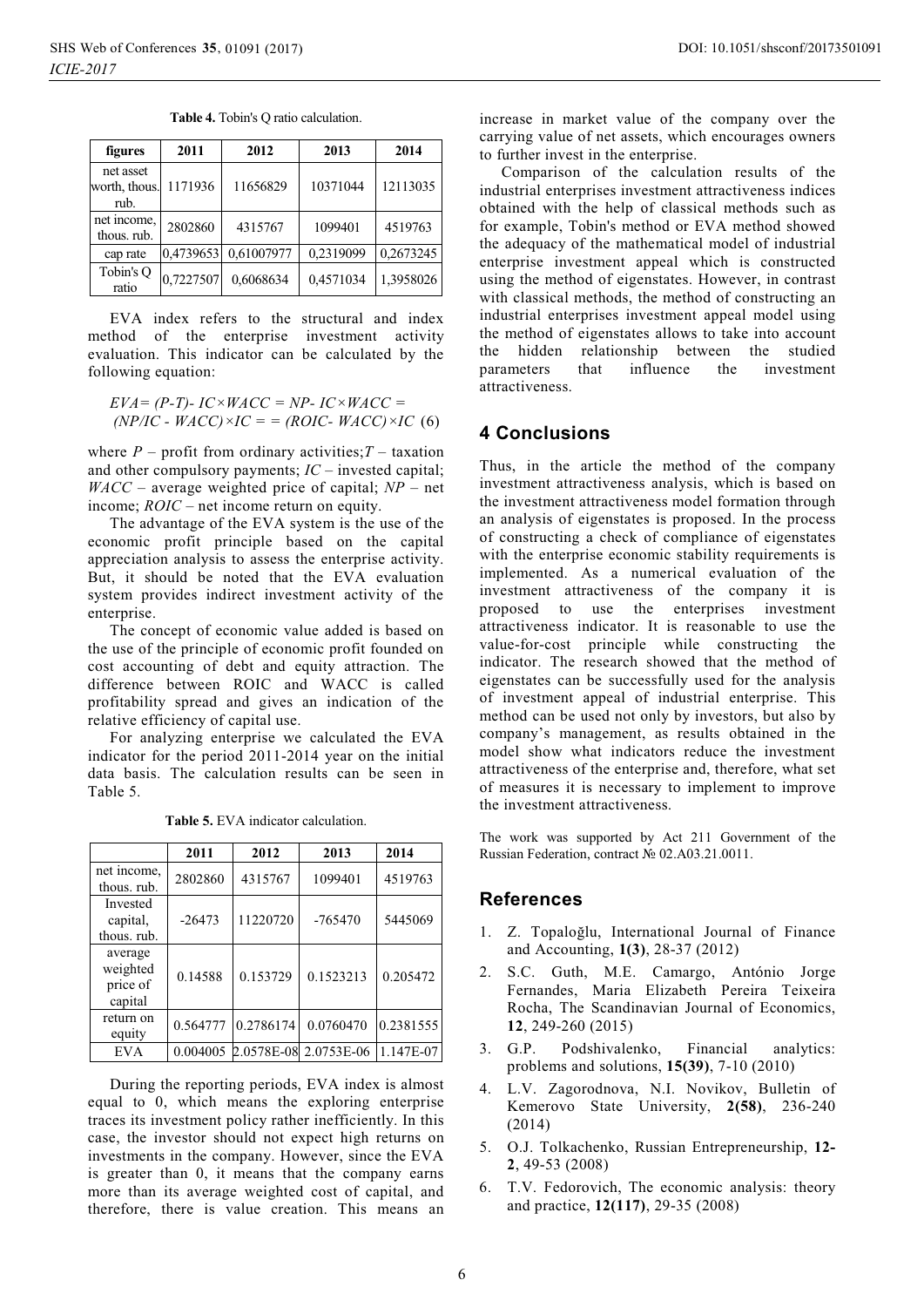| figures                            | 2011      | 2012       | 2013      | 2014      |
|------------------------------------|-----------|------------|-----------|-----------|
| net asset<br>worth, thous.<br>rub. | 1171936   | 11656829   | 10371044  | 12113035  |
| net income,<br>thous, rub.         | 2802860   | 4315767    | 1099401   | 4519763   |
| cap rate                           | 0,4739653 | 0,61007977 | 0,2319099 | 0,2673245 |
| Tobin's O<br>ratio                 | 0,7227507 | 0,6068634  | 0,4571034 | 1,3958026 |

**Table 4.** Tobin's Q ratio calculation.

EVA index refers to the structural and index method of the enterprise investment activity evaluation. This indicator can be calculated by the following equation:

$$
EVA = (P-T) - IC \times WACC = NP - IC \times WACC =
$$
  
(NP/IC - WACC) \times IC = = (ROIC - WACC) \times IC (6)

where  $P$  – profit from ordinary activities;  $T$  – taxation and other compulsory payments; *IC* – invested capital; *WACC* – average weighted price of capital; *NP* – net income; *ROIC* – net income return on equity.

The advantage of the EVA system is the use of the economic profit principle based on the capital appreciation analysis to assess the enterprise activity. But, it should be noted that the EVA evaluation system provides indirect investment activity of the enterprise.

The concept of economic value added is based on the use of the principle of economic profit founded on cost accounting of debt and equity attraction. The difference between ROIC and WACC is called profitability spread and gives an indication of the relative efficiency of capital use.

For analyzing enterprise we calculated the EVA indicator for the period 2011-2014 year on the initial data basis. The calculation results can be seen in Table 5.

|                                            | 2011     | 2012      | 2013                  | 2014      |
|--------------------------------------------|----------|-----------|-----------------------|-----------|
| net income,<br>thous, rub.                 | 2802860  | 4315767   | 1099401               | 4519763   |
| Invested<br>capital,<br>thous, rub.        | $-26473$ | 11220720  | $-765470$             | 5445069   |
| average<br>weighted<br>price of<br>capital | 0.14588  | 0.153729  | 0.1523213             | 0.205472  |
| return on<br>equity                        | 0.564777 | 0.2786174 | 0.0760470             | 0.2381555 |
| <b>EVA</b>                                 | 0.004005 |           | 2.0578E-08 2.0753E-06 | 1.147E-07 |

**Table 5.** EVA indicator calculation.

During the reporting periods, EVA index is almost equal to 0, which means the exploring enterprise traces its investment policy rather inefficiently. In this case, the investor should not expect high returns on investments in the company. However, since the EVA is greater than 0, it means that the company earns more than its average weighted cost of capital, and therefore, there is value creation. This means an

increase in market value of the company over the carrying value of net assets, which encourages owners to further invest in the enterprise.

Comparison of the calculation results of the industrial enterprises investment attractiveness indices obtained with the help of classical methods such as for example, Tobin's method or EVA method showed the adequacy of the mathematical model of industrial enterprise investment appeal which is constructed using the method of eigenstates. However, in contrast with classical methods, the method of constructing an industrial enterprises investment appeal model using the method of eigenstates allows to take into account the hidden relationship between the studied<br>narameters that influence the investment parameters that influence the investment attractiveness.

#### **4 Conclusions**

Thus, in the article the method of the company investment attractiveness analysis, which is based on the investment attractiveness model formation through an analysis of eigenstates is proposed. In the process of constructing a check of compliance of eigenstates with the enterprise economic stability requirements is implemented. As a numerical evaluation of the investment attractiveness of the company it is proposed to use the enterprises investment attractiveness indicator. It is reasonable to use the value-for-cost principle while constructing the indicator. The research showed that the method of eigenstates can be successfully used for the analysis of investment appeal of industrial enterprise. This method can be used not only by investors, but also by company's management, as results obtained in the model show what indicators reduce the investment attractiveness of the enterprise and, therefore, what set of measures it is necessary to implement to improve the investment attractiveness.

The work was supported by Act 211 Government of the Russian Federation, contract № 02.A03.21.0011.

#### **References**

- 1. Z. Topaloğlu, International Journal of Finance and Accounting, **1(3)**, 28-37 (2012)
- 2. S.C. Guth, M.E. Camargo, António Jorge Fernandes, Maria Elizabeth Pereira Teixeira Rocha, The Scandinavian Journal of Economics, **12**, 249-260 (2015)
- 3. G.P. Podshivalenko, Financial analytics: problems and solutions, **15(39)**, 7-10 (2010)
- 4. L.V. Zagorodnova, N.I. Novikov, Bulletin of Kemerovo State University, **2(58)**, 236-240 (2014)
- 5. O.J. Tolkachenko, Russian Entrepreneurship, 12-**2**, 49-53 (2008)
- 6. T.V. Fedorovich, The economic analysis: theory and practice, **12(117)**, 29-35 (2008)